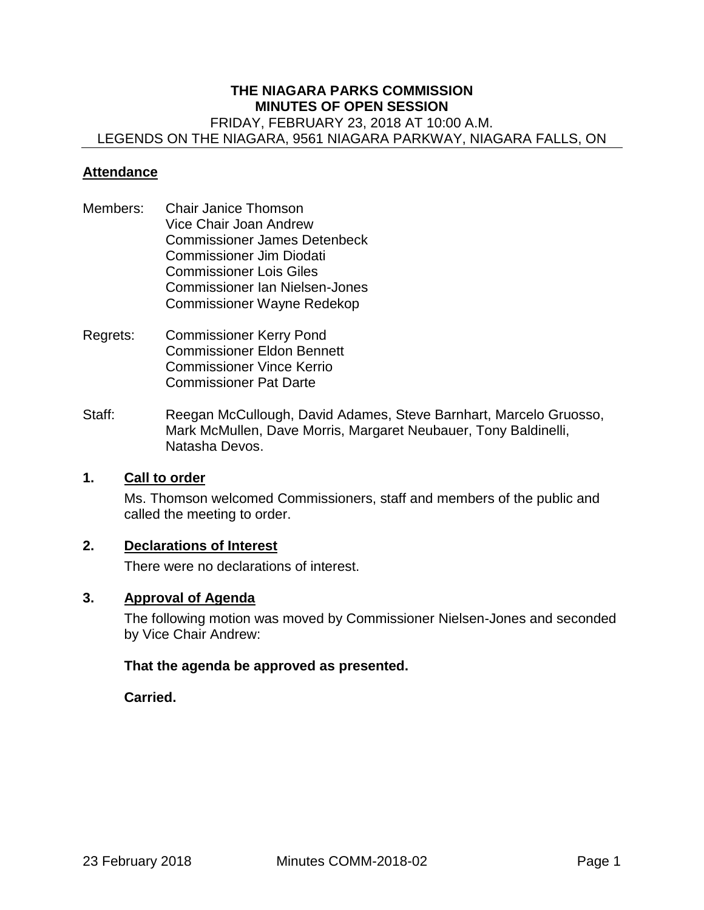#### **THE NIAGARA PARKS COMMISSION MINUTES OF OPEN SESSION**  FRIDAY, FEBRUARY 23, 2018 AT 10:00 A.M. LEGENDS ON THE NIAGARA, 9561 NIAGARA PARKWAY, NIAGARA FALLS, ON

#### **Attendance**

- Members: Chair Janice Thomson Vice Chair Joan Andrew Commissioner James Detenbeck Commissioner Jim Diodati Commissioner Lois Giles Commissioner Ian Nielsen-Jones Commissioner Wayne Redekop
- Regrets: Commissioner Kerry Pond Commissioner Eldon Bennett Commissioner Vince Kerrio Commissioner Pat Darte
- Staff: Reegan McCullough, David Adames, Steve Barnhart, Marcelo Gruosso, Mark McMullen, Dave Morris, Margaret Neubauer, Tony Baldinelli, Natasha Devos.

#### **1. Call to order**

Ms. Thomson welcomed Commissioners, staff and members of the public and called the meeting to order.

## **2. Declarations of Interest**

There were no declarations of interest.

#### **3. Approval of Agenda**

The following motion was moved by Commissioner Nielsen-Jones and seconded by Vice Chair Andrew:

#### **That the agenda be approved as presented.**

**Carried.**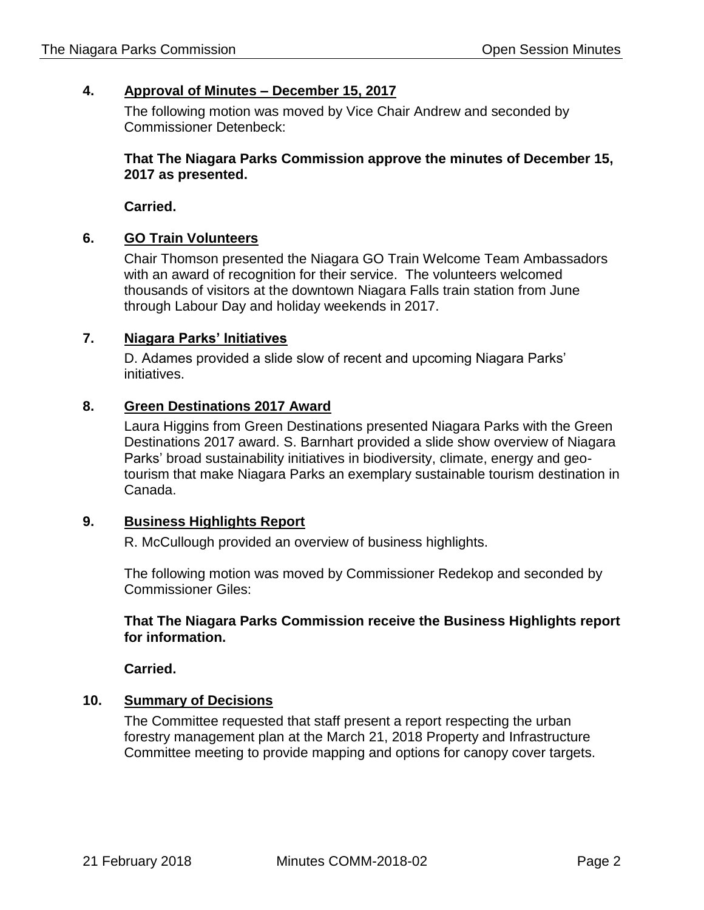# **4. Approval of Minutes – December 15, 2017**

The following motion was moved by Vice Chair Andrew and seconded by Commissioner Detenbeck:

## **That The Niagara Parks Commission approve the minutes of December 15, 2017 as presented.**

**Carried.** 

## **6. GO Train Volunteers**

Chair Thomson presented the Niagara GO Train Welcome Team Ambassadors with an award of recognition for their service. The volunteers welcomed thousands of visitors at the downtown Niagara Falls train station from June through Labour Day and holiday weekends in 2017.

## **7. Niagara Parks' Initiatives**

D. Adames provided a slide slow of recent and upcoming Niagara Parks' initiatives.

## **8. Green Destinations 2017 Award**

Laura Higgins from Green Destinations presented Niagara Parks with the Green Destinations 2017 award. S. Barnhart provided a slide show overview of Niagara Parks' broad sustainability initiatives in biodiversity, climate, energy and geotourism that make Niagara Parks an exemplary sustainable tourism destination in Canada.

## **9. Business Highlights Report**

R. McCullough provided an overview of business highlights.

The following motion was moved by Commissioner Redekop and seconded by Commissioner Giles:

## **That The Niagara Parks Commission receive the Business Highlights report for information.**

**Carried.** 

## **10. Summary of Decisions**

The Committee requested that staff present a report respecting the urban forestry management plan at the March 21, 2018 Property and Infrastructure Committee meeting to provide mapping and options for canopy cover targets.